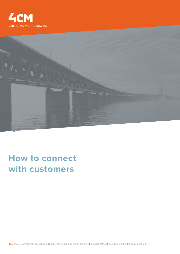



# **How to connect with customers**

4CM | Over 35 years of experience in B2B PR, marketing and digital content | Members of the BMC. Accredited to the CMS standard.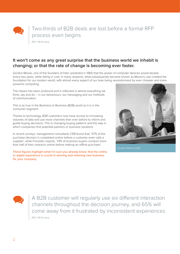Two-thirds of B2B deals are lost before a formal RFP process even begins

(Ref: McKinsey)

### **It won't come as any great surprise that the business world we inhabit is changing; or that the rate of change is becoming ever faster.**

Gordon Moore, one of the founders of Intel, predicted in 1965 that the power of computer devices would double every two years, while falling in cost. In many respects, what subsequently became known as Moore's Law created the foundation for our modern world, with almost every aspect of our lives being revolutionised by ever cheaper and more powerful computing.

The impact has been profound and is reflected in almost everything we think, say and do – in our behaviours, our messaging and our methods of communication.

This is as true in the Business to Business (B2B) world as it is in the consumer segment.

Thanks to technology, B2B customers now have access to increasing volumes of data and use more channels than ever before to inform and guide buying decisions. This is changing buying patterns and the way in which companies find potential partners or business solutions.

In recent surveys, management consultants CEB found that, '57% of the purchase decision is completed online before a customer even calls a supplier', while Forrester reports, '74% of business buyers conduct more than half of their research online before making an offline purchase'.

These figures highlight what I'm sure you already know: that the online or digital experience is crucial in winning and retaining new business for your company.



Gordon Moore (left)



A B2B customer will regularly use six different interaction channels throughout the decision journey, and 65% will come away from it frustrated by inconsistent experiences (Ref: McKinsey)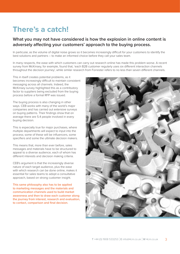## **There's a catch!**

### **What you may not have considered is how the explosion in online content is adversely affecting your customers' approach to the buying process.**

In particular, as the volume of digital noise grows so it becomes increasingly difficult for your customers to identify the best solutions and partners – to make an informed choice before they call your sales team.

In many respects, the ease with which customers can carry out research online has made this problem worse. A recent survey from McKinsey, for example, found that, 'each B2B customer regularly uses six different interaction channels throughout the decision journey', while similar research from Forrester refers to no less than seven different channels.

This in itself creates potential problems, as it becomes increasingly difficult to maintain consistent messaging across all channels. Indeed, the McKinsey survey highlighted this as a contributory factor to suppliers being excluded from the buying process before a formal RFP was issued.

The buying process is also changing in other ways. CEB works with many of the world's major companies and has carried out extensive surveys on buying patterns. Their findings show that on average there are 5.4 people involved in every buying decision.

This is especially true for major purchases, where multiple departments will expect to input into the process; some of these will be influencers, some specifiers and some the ultimate decision makers.

This means that, more than ever before, sales messages and materials have to be structured to appeal to a diverse audience, each of whom has different interests and decision making criteria.

CEB's argument is that the increasingly diverse nature of each target audience, plus the ease with which research can be done online, makes it essential for sales teams to adopt a consultative approach, based on strong customer insight.

This same philosophy also has to be applied to marketing messages and the materials and communication channels used to build market awareness and then to draw each customer along the journey from interest, research and evaluation, to contact, comparison and final decision.

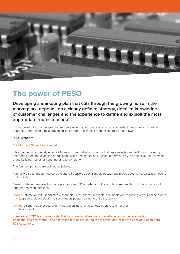

### **The power of PESO**

**Developing a marketing plan that cuts through the growing noise in the marketplace depends on a clearly defined strategy, detailed knowledge of customer challenges and the experience to define and exploit the most appropriate routes to market.**

In turn, developing the multiple channels available to your business requires a consistent, proactive and creative approach, underpinned by a proven business model. In short, it requires the power of PESO!

#### PESO stands for:

#### Paid, Earned, Shared and Owned.

It is a simple but extremely effective framework around which communications strategies and tactics can be easily adapted to meet the changing needs of the sales and marketing function, determined by the objective – for example, brand building, customer nurturing or lead generation.

The four components are defined as follows:

Paid: any paid for media - AdWords, e-shots, sponsored social media posts, trade media advertising, sales promotions and exhibitions

Earned: independent media coverage - news and PR in trade, technical and business media, third party blogs and independent web mentions

Shared: interaction with social media channels - likes, shares, retweets, comments and reposting of your online assets – white papers, video, blogs and social media posts – online forum discussions

Owned: all channels that you own - web and online channels, newsletters, customer and distributor events.

In essence, PESO is a simple model that incorporates all methods of marketing communication – both traditional and new world – and allows them to be structured in a way that addresses the behaviour of modern B2B customers.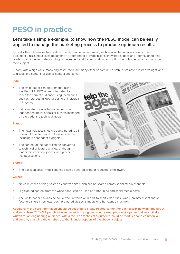## **PESO in practice**

### **Let's take a simple example, to show how the PESO model can be easily applied to manage the marketing process to produce optimum results.**

Typically, this will involve the creation of a high value content asset, such as a white paper – similar to this document. This is not a sales document; it's intended to provide insight, knowledge, ideas and information to help readers gain a better understanding of the subject and, by association, to position the publisher as an authority on their subject.

Clearly, with a high value marketing asset, there are many other opportunities both to promote it in its own right, and to dissect the content for use as stand-alone items.

#### Paid:

- The white paper can be promoted using Pay Per Click (PPC) adverts, targeted to reach the correct audience using techniques such as retargeting, geo-targeting or individual IP targeting
- Paid can also include banner adverts on independent news portals or e-shots managed by the trade and technical media

#### Earned:

- The news releases should be distributed to all relevant trade, technical or business media; including independent bloggers
- The content of the paper can be converted to technical or feature articles, or thought leadership comment pieces, and placed in key publications



#### Shared:

The posts on social media channels can be shared, liked or reposted by followers

#### Owned:

- News releases or blog posts on your web site which can be shared across social media channels
- Highlighted content from the white paper can be used as further blog and social media posts
- The white paper can also be converted, in whole or in part, to short video clips; simple animated sections or face-to-camera interviews; each promoted via social media or other owned channels.

Additionally, the core information should be adapted to create related content for each discipline within the target audience. Take CEB's 5.4 people involved in each buying decision for example, a white paper that was initially written for an engineering audience, with a focus on technical arguments, could be modified for a commercial audience by changing the emphasis to the financial aspects of the chosen subject.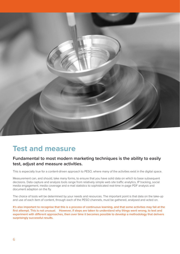

## **Test and measure**

### **Fundamental to most modern marketing techniques is the ability to easily test, adjust and measure activities.**

This is especially true for a content-driven approach to PESO, where many of the activities exist in the digital space.

Measurement can, and should, take many forms, to ensure that you have solid data on which to base subsequent decisions. Data capture and analysis tools range from relatively simple web site traffic analytics, IP tracking, social media engagement, media coverage and e-mail statistics to sophisticated real-time in-page PDF analysis and document adaption on the fly.

The choice of tools will be determined by your needs and resources. The important point is that data on the take-up and use of each item of content, through each of the PESO channels, must be gathered, analysed and acted on.

It's also important to recognise that this is a process of continuous learning, and that some activities may fail at the first attempt. This is not unusual. However, if steps are taken to understand why things went wrong, to test and experiment with different approaches, then over time it becomes possible to develop a methodology that delivers surprisingly successful results.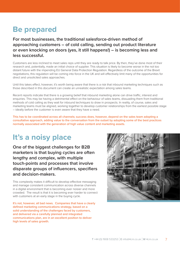## **Be prepared**

**For most businesses, the traditional salesforce-driven method of approaching customers – of cold calling, sending out product literature or even knocking on doors (yes, it still happens!) – is becoming less and less successful.**

Customers are less inclined to meet sales reps until they are ready to talk price. By then, they've done most of their research and, potentially, made an initial choice of supplier. This situation is likely to become worse in the not too distant future with the impending EU General Data Protection Regulation. Regardless of the outcome of the Brexit negotiations, this regulation will be coming into force in the UK and will effectively limit many of the opportunities for direct and unsolicited sales approaches.

Until this takes effect, however, it's worth being aware that there is a risk that inbound marketing techniques such as those described in this document can create an unrealistic expectation among sales teams.

Recent reports indicate that there is a growing belief that inbound marketing alone can drive traffic, interest and enquiries. This may be having a detrimental effect on the behaviour of sales teams, dissuading them from traditional methods of cold calling as they wait for inbound techniques to draw in prospects. In reality, of course, sales and marketing teams must be aligned, working together to develop customer relationships from the earliest possible stage – ideally before the customer is even aware that they have a need.

This has to be coordinated across all channels; success does, however, depend on the sales team adopting a consultative approach, adding value to the conversation from the outset by adopting some of the best practices normally associated with the generation of high value content and marketing assets.

## **It's a noisy place**

**One of the biggest challenges for B2B marketers is that buying cycles are often lengthy and complex, with multiple touch-points and processes that involve disparate groups of influencers, specifiers and decision-makers.**

This complexity makes it difficult to develop effective messaging and manage consistent communication across diverse channels in a digital environment that is becoming ever noisier and more crowded. The result is that it is becoming ever harder to connect with customers at an early stage in the buying cycle.

It's not, however, all bad news. Companies that have a clearly defined marketing communications strategy, based on a solid understanding of the challenges faced by customers, and delivered via a carefully planned and integrated communications plan, are in an excellent position to deliver high levels of sales growth.